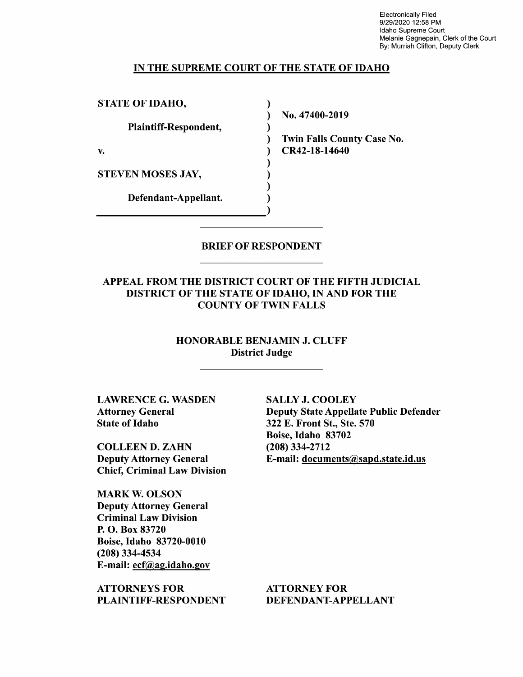Electronically Filed 9/29/2020 12:58 PM Idaho Supreme Court Melanie Gagnepain, Clerk of the Court By: Murriah Clifton, Deputy Clerk

#### IN THE SUPREME COURT OF THE STATE OF IDAHO

 $\lambda$ 

STATE OF IDAHO,

Plaintiff—Respondent,

STEVEN MOSES JAY,

Defendant—Appellant.

N0. 47400-2019

Twin Falls County Case No. v. 1988 (1988) CR42-18-14640

BRIEF OF RESPONDENT

APPEAL FROM THE DISTRICT COURT OF THE FIFTH JUDICIAL DISTRICT OF THE STATE OF IDAHO, IN AND FOR THE COUNTY OF TWIN FALLS

> HONORABLE BENJAMIN J. CLUFF District Judge

LAWRENCE G. WASDEN Attorney General State 0f Idaho

COLLEEN D. ZAHN Deputy Attorney General Chief, Criminal Law Division

MARK W. OLSON Deputy Attorney General Criminal Law Division P. O. Box 83720 Boise, Idaho 83720-0010 (208) 334-4534 E-mail: ecf@ag.idah0.gov

ATTORNEYS FOR PLAINTIFF—RESPONDENT

SALLY J. COOLEY Deputy State Appellate Public Defender 322 E. Front St., Ste. 570 Boise, Idaho 83702 (208) 334-2712 E-mail: documents@sapd.state.id.us

ATTORNEY FOR DEFENDANT—APPELLANT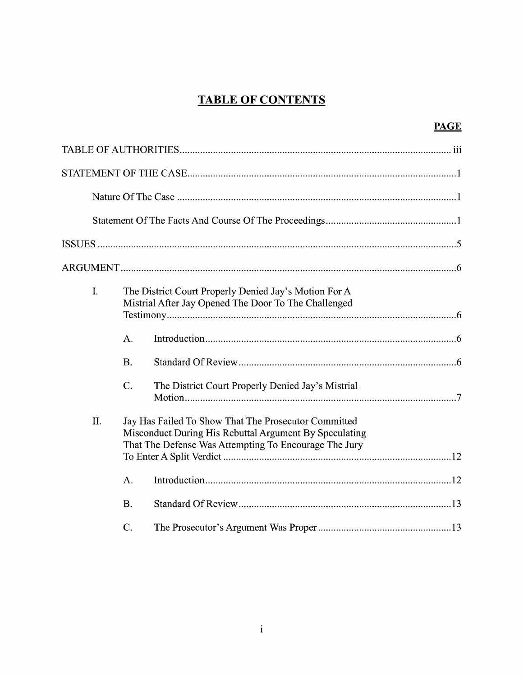# **TABLE OF CONTENTS**

| O<br>¢. |
|---------|
|         |

| I. | A.<br><b>B.</b><br>C. | The District Court Properly Denied Jay's Motion For A<br>Mistrial After Jay Opened The Door To The Challenged<br>The District Court Properly Denied Jay's Mistrial      |  |  |
|----|-----------------------|-------------------------------------------------------------------------------------------------------------------------------------------------------------------------|--|--|
| Π. | A.<br><b>B.</b>       | Jay Has Failed To Show That The Prosecutor Committed<br>Misconduct During His Rebuttal Argument By Speculating<br>That The Defense Was Attempting To Encourage The Jury |  |  |
|    | C.                    |                                                                                                                                                                         |  |  |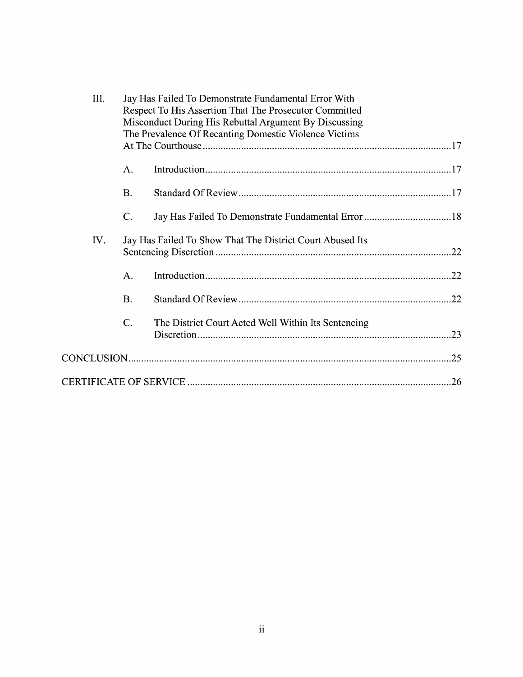|     | III. | Jay Has Failed To Demonstrate Fundamental Error With<br>Respect To His Assertion That The Prosecutor Committed<br>Misconduct During His Rebuttal Argument By Discussing<br>The Prevalence Of Recanting Domestic Violence Victims |                                                           |
|-----|------|----------------------------------------------------------------------------------------------------------------------------------------------------------------------------------------------------------------------------------|-----------------------------------------------------------|
|     |      |                                                                                                                                                                                                                                  |                                                           |
|     |      | А.                                                                                                                                                                                                                               |                                                           |
|     |      | <b>B.</b>                                                                                                                                                                                                                        |                                                           |
|     |      | $C$ .                                                                                                                                                                                                                            |                                                           |
| IV. |      |                                                                                                                                                                                                                                  | Jay Has Failed To Show That The District Court Abused Its |
|     |      | A.                                                                                                                                                                                                                               |                                                           |
|     |      | <b>B.</b>                                                                                                                                                                                                                        |                                                           |
|     |      | $C$ .                                                                                                                                                                                                                            | The District Court Acted Well Within Its Sentencing       |
|     |      |                                                                                                                                                                                                                                  |                                                           |
|     |      |                                                                                                                                                                                                                                  | .26                                                       |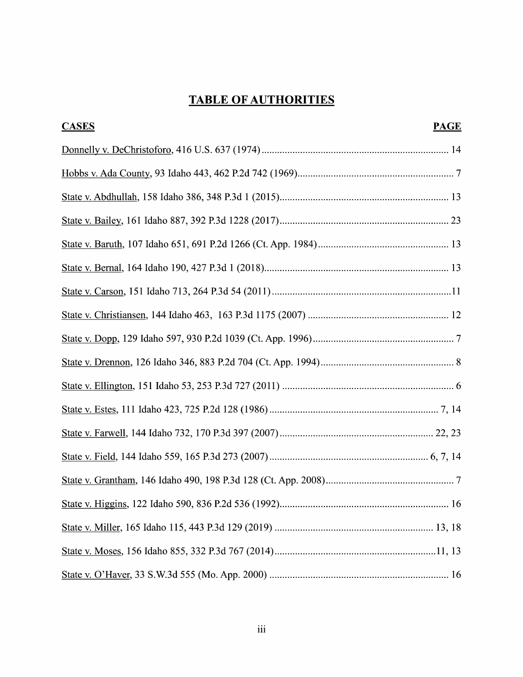# TABLE OF AUTHORITIES

| <b>CASES</b> | <b>PAGE</b> |
|--------------|-------------|
|              |             |
|              |             |
|              |             |
|              |             |
|              |             |
|              |             |
|              |             |
|              |             |
|              |             |
|              |             |
|              |             |
|              |             |
|              |             |
|              |             |
|              |             |
|              |             |
|              |             |
|              |             |
|              |             |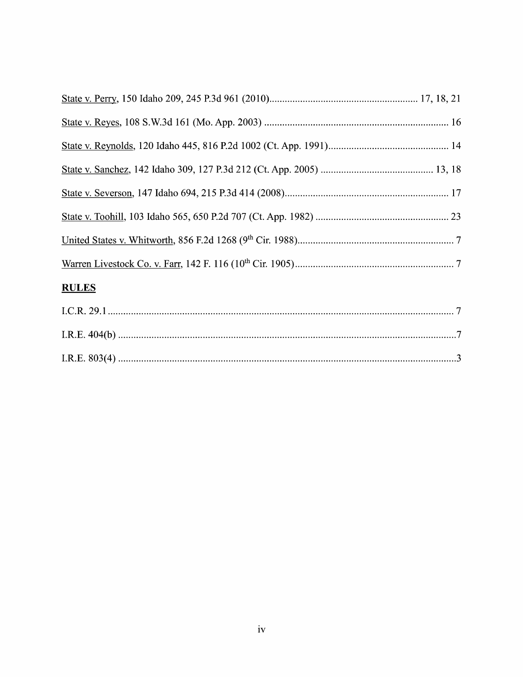## **RULES**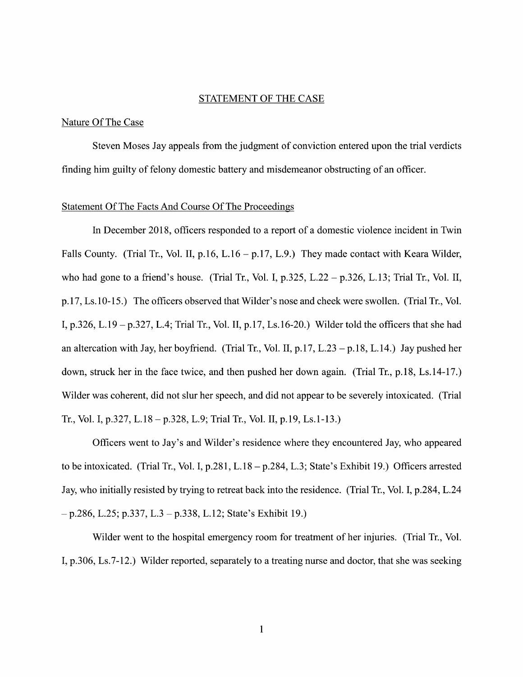### STATEMENT OF THE CASE

### Nature Of The Case

Steven Moses Jay appeals from the judgment of conviction entered upon the trial verdicts finding him guilty of felony domestic battery and misdemeanor obstructing 0f an officer.

#### Statement Of The Facts And Course Of The Proceedings

In December 2018, officers responded to a report of a domestic violence incident in Twin Falls County. (Trial Tr., Vol. II, p.16, L.16 – p.17, L.9.) They made contact with Keara Wilder, who had gone to a friend's house. (Trial Tr., Vol. I, p.325, L.22 – p.326, L.13; Trial Tr., Vol. II, p.17, Ls.10-15.) The officers observed that Wilder's nose and cheek were swollen. (Trial Tr., V01. I, p.326, L.19 - p.327, L.4; Trial Tr., Vol. II, p.17, Ls.16-20.) Wilder told the officers that she had an altercation with Jay, her boyfriend. (Trial Tr., Vol. II,  $p.17$ , L.23 –  $p.18$ , L.14.) Jay pushed her down, struck her in the face twice, and then pushed her down again. (Trial Tr., p.18, Ls.14-17.) Wilder was coherent, did not slur her speech, and did not appear to be severely intoxicated. (Trial Tr., Vol. I, p.327, L.18 - p.328, L.9; Trial Tr., Vol. II, p.19, Ls.1-13.)

Officers went to Jay's and Wilder's residence where they encountered Jay, who appeared to be intoxicated. (Trial Tr., Vol. I, p.281, L.18 - p.284, L.3; State's Exhibit 19.) Officers arrested Jay, Who initially resisted by trying to retreat back into the residence. (Trial Tr., V01. I, p.284, L.24  $-p.286$ , L.25; p.337, L.3 – p.338, L.12; State's Exhibit 19.)

Wilder went to the hospital emergency room for treatment of her injuries. (Trial Tr., Vol.) I, p.306, Ls.7-12.) Wilder reported, separately to a treating nurse and doctor, that she was seeking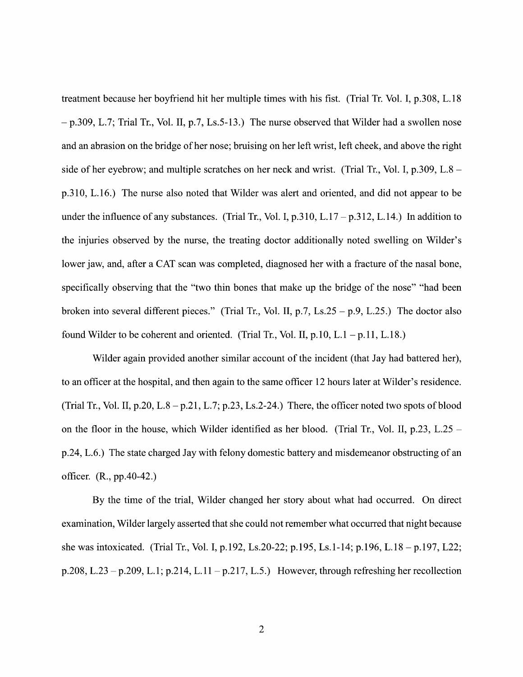treatment because her boyfriend hit her multiple times with his fist. (Trial Tr. Vol. I, p.308, L.18  $-p.309$ , L.7; Trial Tr., Vol. II, p.7, Ls.5-13.) The nurse observed that Wilder had a swollen nose and an abrasion on the bridge of her nose; bruising on her left wrist, left cheek, and above the right side of her eyebrow; and multiple scratches on her neck and wrist. (Trial Tr., Vol. I,  $p.309$ , L.8 – p.310, L.16.) The nurse also noted that Wilder was alert and oriented, and did not appear to be under the influence of any substances. (Trial Tr., Vol. I,  $p.310$ , L.17 –  $p.312$ , L.14.) In addition to the injuries observed by the nurse, the treating doctor additionally noted swelling 0n Wilder's lower jaw, and, after a CAT scan was completed, diagnosed her with a fracture of the nasal bone, specifically observing that the "two thin bones that make up the bridge of the nose" "had been broken into several different pieces." (Trial Tr., Vol. II, p.7, Ls.25 – p.9, L.25.) The doctor also found Wilder to be coherent and oriented. (Trial Tr., Vol. II, p.10, L.1 – p.11, L.18.)

Wilder again provided another similar account of the incident (that Jay had battered her), to an officer at the hospital, and then again to the same officer 12 hours later at Wilder's residence. (Trial Tr., Vol. II, p.20, L.8 - p.21, L.7; p.23, Ls.2-24.) There, the officer noted two spots of blood on the floor in the house, which Wilder identified as her blood. (Trial Tr., Vol. II, p.23, L.25 – p.24, L.6.) The state charged Jay with felony domestic battery and misdemeanor obstructing of an officer. (R., pp.40-42.)

By the time of the trial, Wilder changed her story about What had occurred. On direct examination, Wilder largely asserted that she could not remember what occurred that night because she was intoxicated. (Trial Tr., Vol. I, p.192, Ls.20-22; p.195, Ls.1-14; p.196, L.18 – p.197, L22; p.208, L.23 - p.209, L.1; p.214, L.11 - p.217, L.5.) However, through refreshing her recollection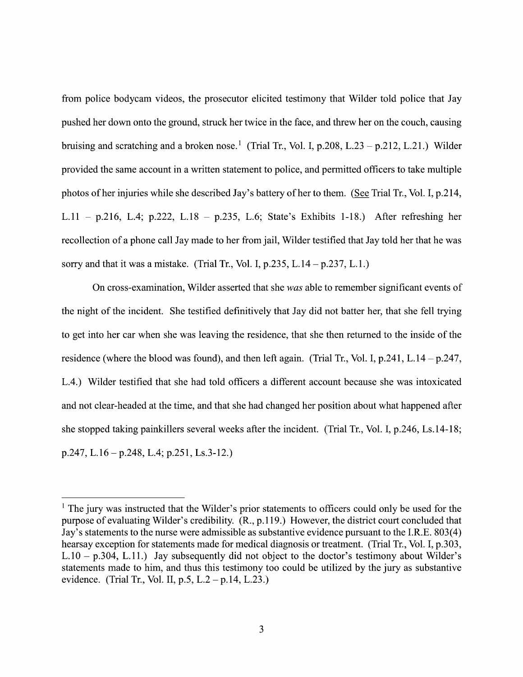from police bodycam videos, the prosecutor elicited testimony that Wilder told police that Jay pushed her down onto the ground, struck her twice in the face, and threw her on the couch, causing bruising and scratching and a broken nose.<sup>1</sup> (Trial Tr., Vol. I, p.208, L.23 – p.212, L.21.) Wilder provided the same account in a written statement to police, and permitted officers to take multiple photos of her injuries while she described Jay's battery of her to them. (See Trial Tr., Vol. I, p.214, L.  $11 - p.216$ , L. 4; p.  $222$ , L.  $18 - p.235$ , L. 6; State's Exhibits 1-18.) After refreshing her recollection of a phone call Jay made to her from jail, Wilder testified that Jay told her that he was sorry and that it was a mistake. (Trial Tr., Vol. I,  $p.235$ , L.14 –  $p.237$ , L.1.)

On cross-examination, Wilder asserted that she was able to remember significant events of the night of the incident. She testified definitively that Jay did not batter her, that she fell trying to get into her car when she was leaving the residence, that she then returned to the inside of the residence (where the blood was found), and then left again. (Trial Tr., Vol. I,  $p.241$ , L.14 –  $p.247$ , L.4.) Wilder testified that she had told officers different account because she was intoxicated and not clear—headed at the time, and that she had changed her position about what happened after she stopped taking painkillers several weeks after the incident. (Trial Tr., Vol. I, p.246, Ls.14-18; p.247, L.16 – p.248, L.4; p.251, Ls.3-12.)

 $1$  The jury was instructed that the Wilder's prior statements to officers could only be used for the purpose of evaluating Wilder's credibility. (R., p.119.) However, the district court concluded that Jay's statements to the nurse were admissible as substantive evidence pursuant to the I.R.E. 803(4) hearsay exception for statements made for medical diagnosis or treatment. (Trial Tr., Vol. I, p.303, L.10 - p.304, L.11.) Jay subsequently did not object to the doctor's testimony about Wilder's statements made to him, and thus this testimony too could be utilized by the jury as substantive evidence. (Trial Tr., Vol. II, p.5, L.2 – p.14, L.23.)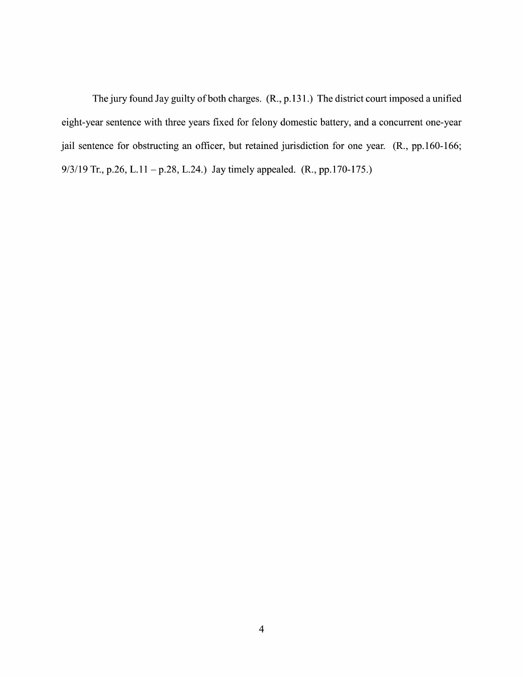The jury found Jay guilty of both charges.  $(R., p.131.)$  The district court imposed a unified eight-year sentence with three years fixed for felony domestic battery, and a concurrent one-year jail sentence for obstructing an officer, but retained jurisdiction for one year. (R., pp.160-166; 9/3/19 Tr., p.26, L.11 - p.28, L.24.) Jay timely appealed. (R., pp.170-175.)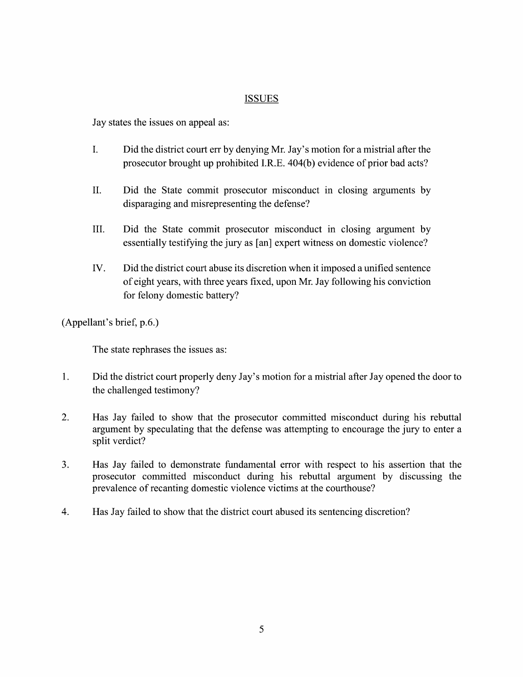## ISSUES

Jay states the issues 0n appeal as:

- I. Did the district court err by denying Mr. Jay's motion for a mistrial after the prosecutor brought up prohibited I.R.E. 404(b) evidence of prior bad acts?
- II. Did the State commit prosecutor misconduct in closing arguments by disparaging and misrepresenting the defense?
- III. Did the State commit prosecutor misconduct in closing argument by essentially testifying the jury as [an] expert witness on domestic violence?
- IV. Did the district court abuse its discretion when it imposed a unified sentence of eight years, With three years fixed, upon Mr. Jay following his conviction for felony domestic battery?

(Appellant's brief, p.6.)

The state rephrases the issues as:

- 1. Did the district court properly deny Jay's motion for a mistrial after Jay opened the door to the challenged testimony?
- 2. Has Jay failed to show that the prosecutor committed misconduct during his rebuttal argument by speculating that the defense was attempting to encourage the jury to enter a split verdict?
- 3. Has Jay failed to demonstrate fundamental error With respect to his assertion that the prosecutor committed misconduct during his rebuttal argument by discussing the prevalence of recanting domestic violence victims at the courthouse?
- 4. Has Jay failed t0 show that the district court abused its sentencing discretion?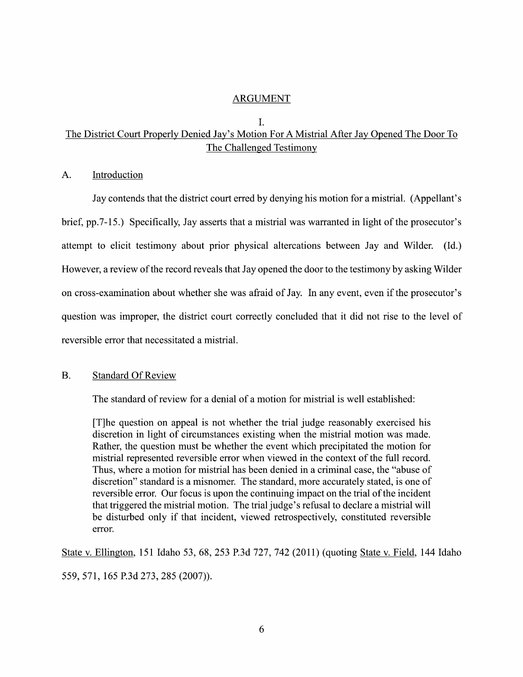## ARGUMENT

#### I.

## The District Court Properly Denied Jay's Motion For A Mistrial After Jay Opened The Door To The Challenged Testimony

A. Introduction

Jay contends that the district court erred by denying his motion for mistrial. (Appellant's brief, pp.7-15.) Specifically, Jay asserts that mistrial was warranted in light of the prosecutor's attempt to elicit testimony about prior physical altercations between Jay and Wilder. (Id.) However, a review of the record reveals that Jay opened the door to the testimony by asking Wilder 0n cross—examination about Whether she was afraid 0f Jay. In any event, even if the prosecutor's question was improper, the district court correctly concluded that it did not rise to the level of reversible error that necessitated a mistrial.

### B. Standard Of Review

The standard of review for a denial of a motion for mistrial is well established:

[T]he question 0n appeal is not whether the trial judge reasonably exercised his discretion in light 0f circumstances existing When the mistrial motion was made. [1] he question on appeal is not whether the trial judge reasonably exercised his<br>discretion in light of circumstances existing when the mistrial motion was made.<br>Rather, the question must be whether the event which precip mistrial represented reversible error when viewed in the context of the full record. Thus, where a motion for mistrial has been denied in a criminal case, the "abuse of discretion" standard is a misnomer. The standard, more accurately stated, is one of reversible error. Our focus is upon the continuing impact on the trial of the incident that triggered the mistrial motion. The trial judge's refusal to declare a mistrial will be disturbed only if that incident, Viewed retrospectively, constituted reversible error.

State V. Ellington, <sup>151</sup> Idaho 53, 68, <sup>253</sup> P.3d 727, <sup>742</sup> (2011) (quoting State V. Field, <sup>144</sup> Idaho 559, 571, 165 P.3d 273, 285 (2007)).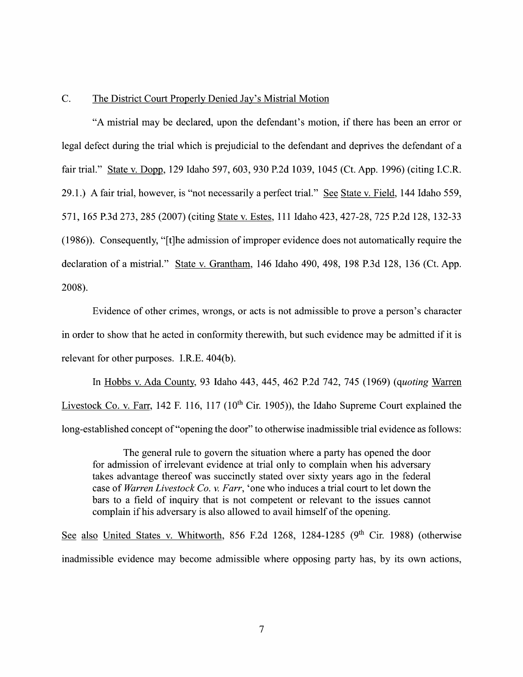### C. The District Court Properly Denied Jay's Mistrial Motion

"A mistrial may be declared, upon the defendant's motion, if there has been an error 0r legal defect during the trial which is prejudicial to the defendant and deprives the defendant of a fair trial." State v. Dopp, 129 Idaho 597, 603, 930 P.2d 1039, 1045 (Ct. App. 1996) (citing I.C.R. 29.1.) A fair trial, however, is "not necessarily a perfect trial." See State v. Field, 144 Idaho 559, 571, 165 P.3d 273, 285 (2007) (citing State V. Estes, 111 Idaho 423, 427-28, 725 P.2d 128, 132-33 (1986)). Consequently, "[t]he admission of improper evidence does not automatically require the declaration of a mistrial." State v. Grantham, 146 Idaho 490, 498, 198 P.3d 128, 136 (Ct. App. 2008)

Evidence of other crimes, wrongs, or acts is not admissible to prove a person's character in order to show that he acted in conformity therewith, but such evidence may be admitted if it is relevant for other purposes. I.R.E. 404(b).

In Hobbs V.Ada County, 93 Idaho 443, 445, 462 P.2d 742, 745 (1969) (quoting Livestock Co. v. Farr, 142 F. 116, 117 ( $10^{th}$  Cir. 1905)), the Idaho Supreme Court explained the long-established concept of "opening the door" to otherwise inadmissible trial evidence as follows:

The general rule to govern the situation where a party has opened the door for admission of irrelevant evidence at trial only to complain when his adversary takes advantage thereof was succinctly stated over sixty years ago in the federal case of Warren Livestock Co. v. Farr, 'one who induces a trial court to let down the bars to a field of inquiry that is not competent or relevant to the issues cannot complain if his adversary is also allowed to avail himself of the opening.

See also United States v. Whitworth, 856 F.2d 1268, 1284-1285 (9<sup>th</sup> Cir. 1988) (otherwise inadmissible evidence may become admissible where opposing party has, by its own actions,

 $\overline{7}$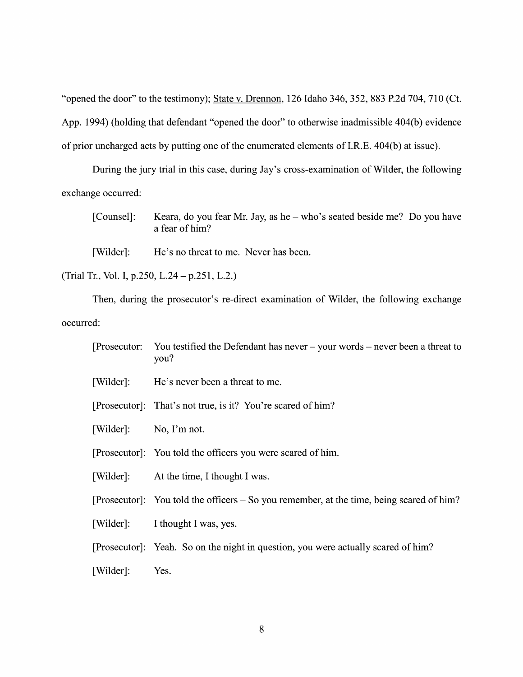"opened the door" to the testimony); State v. Drennon, 126 Idaho 346, 352, 883 P.2d 704, 710 (Ct. App. 1994) (holding that defendant "opened the door" to otherwise inadmissible 404(b) evidence of prior uncharged acts by putting one 0f the enumerated elements 0f I.R.E. 404(b) at issue).

During the jury trial in this case, during Jay's cross-examination of Wilder, the following exchange occurred:

| [Counsel]: Keara, do you fear Mr. Jay, as he – who's seated beside me? Do you have |
|------------------------------------------------------------------------------------|
| a fear of him?                                                                     |
|                                                                                    |

[Wilder]: He's no threat to me. Never has been.

(Trial Tr., Vol. I, p.250, L.24  $-$  p.251, L.2.)

Then, during the prosecutor's re-direct examination 0f Wilder, the following exchange occurred:

| [Prosecutor: You testified the Defendant has never $-$ your words $-$ never been a threat to |  |
|----------------------------------------------------------------------------------------------|--|
| you?                                                                                         |  |

- [Wilder]: He's never been a threat to me.
- [Prosecutor]: That's not true, is it? You're scared of him?
- [Wilder]: No, I'm not.
- [Prosecutor]: You told the officers you were scared 0f him.
- [Wilder]: At the time, I thought I was.

[Prosecutor]: You told the officers  $-$  So you remember, at the time, being scared of him?

[Wilder]: I thought I was, yes.

[Prosecutor]: Yeah. So 0n the night in question, you were actually scared 0f him?

[Wilder]: Yes.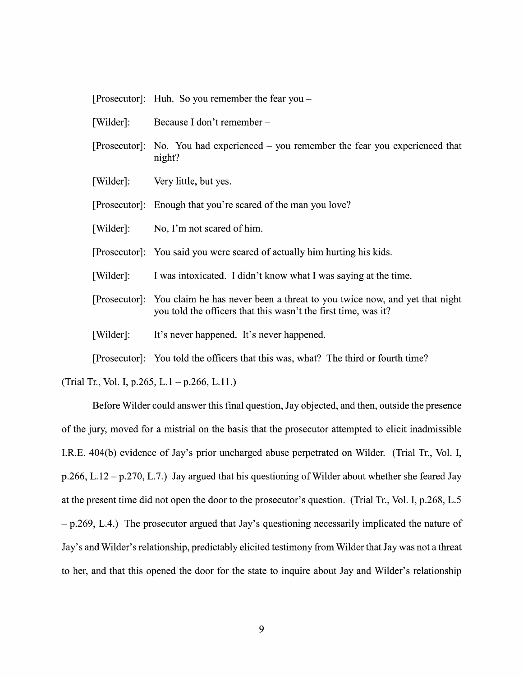[Prosecutor] Huh. So you remember the fear you

- [Wilder]: Because I don't remember -
- [Prosecutor]: No. You had experienced you remember the fear you experienced that night?
- [Wilder]: Very little, but yes.

[Prosecutor] Enough that you're scared 0f the man you love?

- [Wilder]: N0, I'm not scared 0f him.
- [Prosecutor] You said you were scared 0f actually him hurting his kids.
- [Wilder]: I was intoxicated. I didn't know what I was saying at the time.
- [Prosecutor]: You claim he has never been a threat to you twice now, and yet that night you told the officers that this wasn't the first time, was it? It's never happened. It's never happened.

[Wilder]:

[Prosecutor] You told the officers that this was, What? The third 0r fourth time?

(Trial Tr., Vol. I, p.265, L.1 – p.266, L.11.)

Before Wilder could answer this final question, Jay objected, and then, outside the presence 0f the jury, moved for mistrial on the basis that the prosecutor attempted to elicit inadmissible I.R.E. 404(b) evidence of Jay's prior uncharged abuse perpetrated on Wilder. (Trial Tr., Vol. I, p.266, L.12 – p.270, L.7.) Jay argued that his questioning of Wilder about whether she feared Jay at the present time did not open the door to the prosecutor's question. (Trial Tr., Vol. I, p.268, L.5)  $-p.269$ , L.4.) The prosecutor argued that Jay's questioning necessarily implicated the nature of Jay's and Wilder's relationship, predictably elicited testimony from Wilder that Jay was not a threat to her, and that this opened the door for the state to inquire about Jay and Wilder's relationship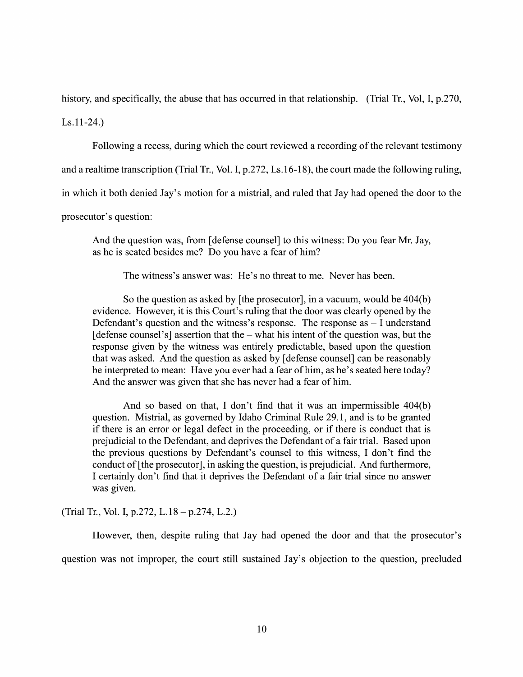history, and specifically, the abuse that has occurred in that relationship. (Trial Tr., Vol, I, p.270,

 $Ls.11-24.$ 

Following a recess, during which the court reviewed a recording of the relevant testimony

and a realtime transcription (Trial Tr., Vol. I, p.272, Ls.16-18), the court made the following ruling,

in which it both denied Jay's motion for a mistrial, and ruled that Jay had opened the door to the

prosecutor's question:

And the question was, from [defense counsel] to this witness: Do you fear Mr. Jay, as he is seated besides me? Do you have a fear of him?

The witness's answer was: He's no threat to me. Never has been.

So the question as asked by [the prosecutor], in a vacuum, would be  $404(b)$ evidence. However, it is this Court's ruling that the door was clearly opened by the Defendant's question and the witness's response. The response as  $-1$  understand [defense counsel's] assertion that the  $-$  what his intent of the question was, but the response given by the witness was entirely predictable, based upon the question that was asked. And the question as asked by [defense counsel] can be reasonably be interpreted to mean: Have you ever had a fear of him, as he's seated here today? And the answer was given that she has never had a fear of him.

And so based on that, I don't find that it was an impermissible  $404(b)$ question. Mistrial, as governed by Idaho Criminal Rule 29.1, and is to be granted if there is an error or legal defect in the proceeding, 0r if there is conduct that is prejudicial to the Defendant, and deprives the Defendant of a fair trial. Based upon the previous questions by Defendant's counsel to this witness, I don't find the conduct 0f [the prosecutor], in asking the question, is prejudicial. And furthermore, I certainly don't find that it deprives the Defendant of a fair trial since no answer was given.

(Trial Tr., Vol. I, p.272, L.18 – p.274, L.2.)

However, then, despite ruling that Jay had opened the door and that the prosecutor's question was not improper, the court still sustained Jay's objection to the question, precluded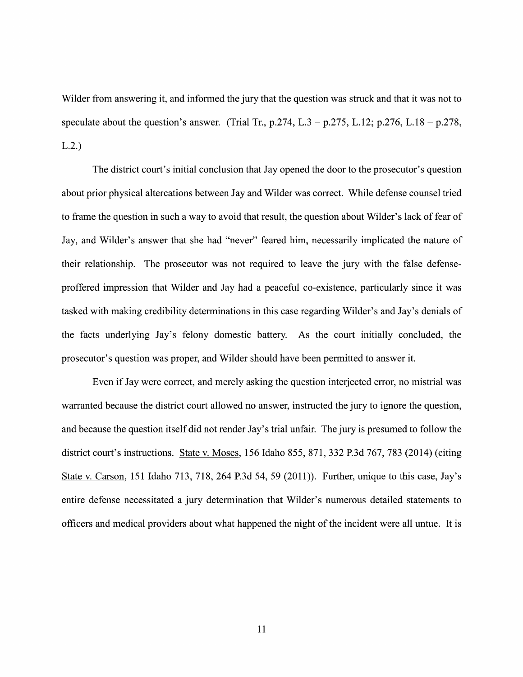Wilder from answering it, and informed the jury that the question was struck and that it was not to speculate about the question's answer. (Trial Tr., p.274, L.3 – p.275, L.12; p.276, L.18 – p.278, L.2.)

The district court's initial conclusion that Jay opened the door to the prosecutor's question about prior physical altercations between Jay and Wilder was correct. While defense counsel tried to frame the question in such a way to avoid that result, the question about Wilder's lack of fear of Jay, and Wilder's answer that she had "never" feared him, necessarily implicated the nature 0f their relationship. The prosecutor was not required to leave the jury with the false defenseproffered impression that Wilder and Jay had peaceful co-existence, particularly since it was tasked with making credibility determinations in this case regarding Wilder's and Jay's denials 0f the facts underlying Jay's felony domestic battery. As the court initially concluded, the prosecutor's question was proper, and Wilder should have been permitted to answer it.

Even if Jay were correct, and merely asking the question interjected error, no mistrial was warranted because the district court allowed no answer, instructed the jury to ignore the question, and because the question itself did not render Jay's trial unfair. The jury is presumed to follow the district court's instructions. State V. Moses, 156 Idaho 855, 871, 332 P.3d 767, 783 (2014) (citing State V. Carson, <sup>151</sup> Idaho 713, 718, <sup>264</sup> P.3d 54, <sup>59</sup> (2011)). Further, unique t0 this case, Jay's entire defense necessitated a jury determination that Wilder's numerous detailed statements to officers and medical providers about what happened the night 0f the incident were all untue. It is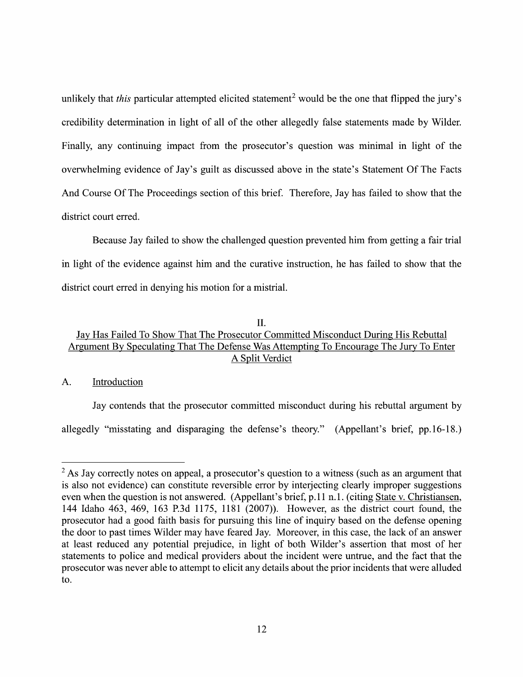unlikely that this particular attempted elicited statement<sup>2</sup> would be the one that flipped the jury's credibility determination in light 0f all of the other allegedly false statements made by Wilder. Finally, any continuing impact from the prosecutor's question was minimal in light 0f the overwhelming evidence 0f Jay's guilt as discussed above in the state's Statement Of The Facts And Course Of The Proceedings section of this brief. Therefore, Jay has failed to show that the district court erred.

Because Jay failed to show the challenged question prevented him from getting a fair trial in light of the evidence against him and the curative instruction, he has failed to show that the district court erred in denying his motion for a mistrial.

## II.

## Jay Has Failed T0 Show That The Prosecutor Committed Misconduct During His Rebuttal Argument By Speculating That The Defense Was Attempting To Encourage The Jury To Enter A Split Verdict

## A. Introduction

Jay contends that the prosecutor committed misconduct during his rebuttal argument by allegedly "misstating and disparaging the defense's theory." (Appellant's brief, pp.16-18.)

 $2$  As Jay correctly notes on appeal, a prosecutor's question to a witness (such as an argument that is also not evidence) can constitute reversible error by interjecting clearly improper suggestions even when the question is not answered. (Appellant's brief, p.11 n.1. (citing State v. Christiansen, is also not evidence) can constitute reversible error by interjecting clearly improper suggestions<br>even when the question is not answered. (Appellant's brief, p.11 n.1. (citing <u>State v. Christiansen,</u><br>144 Idaho 463, 469, 144 Idaho 463, 469, 163 P.3d 1175, 1181 (2007)). However, as the district court found, the prosecutor had a good faith basis for pursuing this line of inquiry based on the defense opening the door to past times Wilder may at least reduced any potential prejudice, in light 0f both Wilder's assertion that most 0f her statements to police and medical providers about the incident were untrue, and the fact that the prosecutor was never able to attempt to elicit any details about the prior incidents that were alluded t0.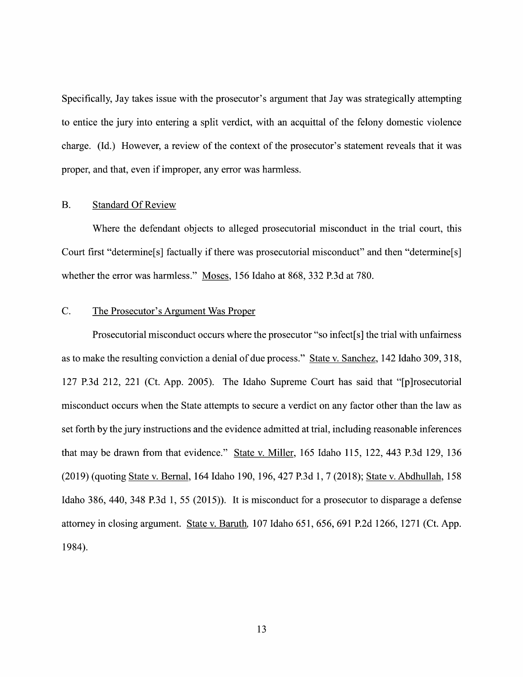Specifically, Jay takes issue with the prosecutor's argument that Jay was strategically attempting to entice the jury into entering a split verdict, with an acquittal of the felony domestic violence charge. (Id.) However, a review of the context of the prosecutor's statement reveals that it was proper, and that, even if improper, any error was harmless.

### B. Standard Of Review

Where the defendant objects to alleged prosecutorial misconduct in the trial court, this Court first "determine[s] factually if there was prosecutorial misconduct" and then "determine[s] whether the error was harmless." Moses, 156 Idaho at 868, 332 P.3d at 780.

## C. The Prosecutor's Argument Was Proper

Prosecutorial misconduct occurs where the prosecutor "so infect[s] the trial with unfairness as to make the resulting conviction a denial of due process." State v. Sanchez, 142 Idaho 309, 318, 127 P.3d 212, 221 (Ct. App. 2005). The Idaho Supreme Court has said that "[p]rosecutorial misconduct occurs when the State attempts to secure a verdict on any factor other than the law as set forth by the jury instructions and the evidence admitted at trial, including reasonable inferences that may be drawn from that evidence." State V. Miller, 165 Idaho 115, 122, 443 P.3d 129, 136 (2019) (quoting State v. Bernal, 164 Idaho 190, 196, 427 P.3d 1, 7 (2018); State v. Abdhullah, 158 Idaho 386, 440, 348 P.3d 1, 55 (2015)). It is misconduct for a prosecutor to disparage a defense attorney in closing argument. State v. Baruth, 107 Idaho 651, 656, 691 P.2d 1266, 1271 (Ct. App. 1984).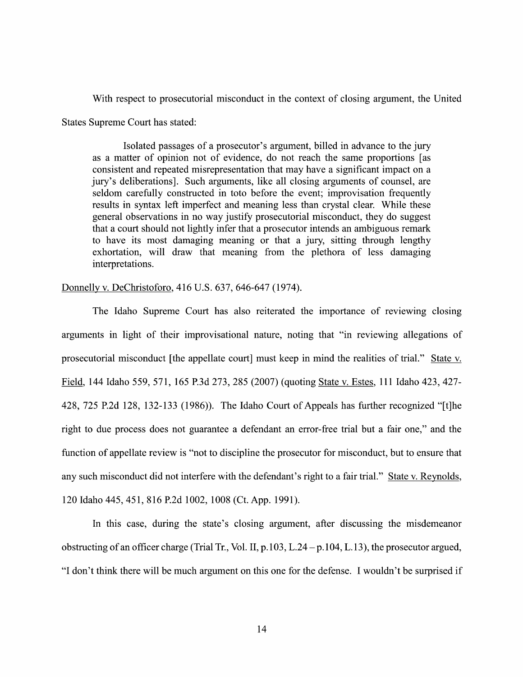With respect to prosecutorial misconduct in the context of closing argument, the United States Supreme Court has stated:

Isolated passages of a prosecutor's argument, billed in advance to the jury as matter of opinion not 0f evidence, do not reach the same proportions [as consistent and repeated misrepresentation that may have a significant impact on a jury's deliberations]. Such arguments, like all closing arguments 0f counsel, are seldom carefully constructed in toto before the event; improvisation frequently results in syntax left imperfect and meaning less than crystal clear. While these general observations in no way justify prosecutorial misconduct, they do suggest that a court should not lightly infer that a prosecutor intends an ambiguous remark to have its most damaging meaning or that a jury, sitting through lengthy exhortation, Will draw that meaning from the plethora 0f less damaging interpretations.

## Donnellv V. DeChristoforo, 416 U.S. 637, 646-647 (1974).

The Idaho Supreme Court has also reiterated the importance of reviewing closing arguments in light 0f their improvisational nature, noting that "in reviewing allegations of prosecutorial misconduct [the appellate court] must keep in mind the realities of trial." State v. Field, 144 Idaho 559, 571, 165 P.3d 273, 285 (2007) (quoting State v. Estes, 111 Idaho 423, 427-428, 725 P.2d 128, 132-133 (1986)). The Idaho Court of Appeals has further recognized "[t]he right to due process does not guarantee a defendant an error-free trial but a fair one," and the function of appellate review is "not to discipline the prosecutor for misconduct, but to ensure that any such misconduct did not interfere with the defendant's right to a fair trial." State v. Reynolds, 120 Idaho 445, 451, 816 P.2d 1002, 1008 (Ct. App. 1991).

In this case, during the state's closing argument, after discussing the misdemeanor obstructing of an officer charge (Trial Tr., Vol. II, p.103, L.24 – p.104, L.13), the prosecutor argued, "I don't think there will be much argument on this one for the defense. I wouldn't be surprised if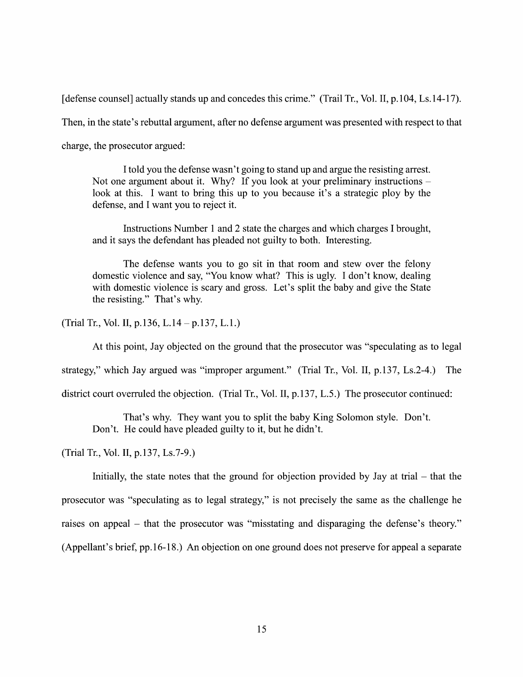[defense counsel] actually stands up and concedes this crime." (Trail Tr., Vol. II, p.104, Ls.14-17).

Then, in the state's rebuttal argument, after no defense argument was presented with respect to that

charge, the prosecutor argued:

Itold you the defense wasn't going to stand up and argue the resisting arrest. Not one argument about it. Why? If you look at your preliminary instructions  $$ look at this. I want to bring this up to you because it's a strategic ploy by the defense, and I want you to reject it.

Instructions Number 1 and 2 state the charges and which charges I brought, and it says the defendant has pleaded not guilty to both. Interesting.

The defense wants you to go sit in that room and stew over the felony domestic violence and say, "You know what? This is ugly. I don't know, dealing with domestic violence is scary and gross. Let's split the baby and give the State the resisting." That's Why.

(Trial Tr., Vol. II, p.136, L.14 – p.137, L.1.)

At this point, Jay objected on the ground that the prosecutor was "speculating as to legal

strategy," Which Jay argued was "improper argument." (Trial Tr., V01. II, p.137, Ls.2-4.) The

district court overruled the objection. (Trial Tr., Vol. II, p.137, L.5.) The prosecutor continued:

That's why. They want you to split the baby King Solomon style. Don't. Don't. He could have pleaded guilty to it, but he didn't.

(Trial Tr., Vol. II, p.137, Ls.7-9.)

Initially, the state notes that the ground for objection provided by Jay at trial  $-$  that the prosecutor was "speculating as t0 legal strategy," is not precisely the same as the challenge he raises on appeal – that the prosecutor was "misstating and disparaging the defense's theory." (Appellant's brief, pp.16-18.) An objection on one ground does not preserve for appeal a separate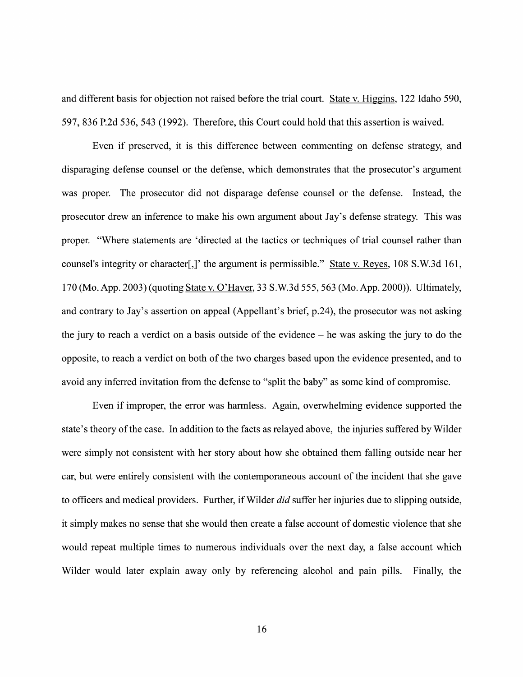and different basis for objection not raised before the trial court. State v. Higgins, 122 Idaho 590, 597, 836 P.2d 536, 543 (1992). Therefore, this Court could hold that this assertion is waived.

Even if preserved, it is this difference between commenting 0n defense strategy, and disparaging defense counsel 0r the defense, which demonstrates that the prosecutor's argument was proper. The prosecutor did not disparage defense counsel 0r the defense. Instead, the prosecutor drew an inference to make his own argument about Jay's defense strategy. This was proper. "Where statements are 'directed at the tactics or techniques of trial counsel rather than counsel's integrity or character[,]' the argument is permissible." State v. Reyes, 108 S.W.3d 161, 170 (Mo. App. 2003) (quoting State V. O'Haver, 33 S.W.3d 555, 563 (M0. App. 2000)). Ultimately, and contrary to Jay's assertion on appeal (Appellant's brief, p.24), the prosecutor was not asking the jury to reach a verdict on a basis outside of the evidence  $-$  he was asking the jury to do the opposite, to reach a verdict on both of the two charges based upon the evidence presented, and to avoid any inferred invitation from the defense to "split the baby" as some kind of compromise.

Even if improper, the error was harmless. Again, overwhelming evidence supported the state's theory of the case. In addition to the facts as relayed above, the injuries suffered by Wilder were simply not consistent with her story about how she obtained them falling outside near her car, but were entirely consistent with the contemporaneous account of the incident that she gave to officers and medical providers. Further, if Wilder *did* suffer her injuries due to slipping outside, it simply makes no sense that she would then create a false account of domestic violence that she would repeat multiple times to numerous individuals over the next day, a false account which Wilder would later explain away only by referencing alcohol and pain pills. Finally, the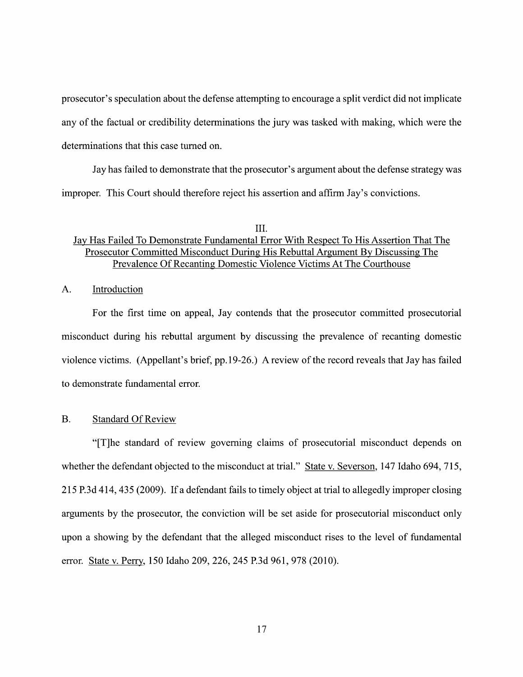prosecutor's speculation about the defense attempting to encourage a split verdict did not implicate any of the factual or credibility determinations the jury was tasked with making, which were the determinations that this case turned on.

Jay has failed to demonstrate that the prosecutor's argument about the defense strategy was improper. This Court should therefore reject his assertion and affirm Jay's convictions.

## III.

## JaV Has Failed To Demonstrate Fundamental Error With Respect To His Assertion That The Prosecutor Committed Misconduct During His Rebuttal Argument By Discussing The Prevalence Of Recanting Domestic Violence Victims At The Courthouse

## A. Introduction

For the first time 0n appeal, Jay contends that the prosecutor committed prosecutorial misconduct during his rebuttal argument by discussing the prevalence of recanting domestic violence victims. (Appellant's brief, pp.19-26.) A review of the record reveals that Jay has failed to demonstrate fundamental error.

## B. Standard Of Review

"[T]he standard 0f review governing claims of prosecutorial misconduct depends 0n whether the defendant objected to the misconduct at trial." State v. Severson, 147 Idaho 694, 715, 215 P.3d 414, 435 (2009). If a defendant fails to timely object at trial to allegedly improper closing arguments by the prosecutor, the conviction Will be set aside for prosecutorial misconduct only upon a showing by the defendant that the alleged misconduct rises to the level of fundamental error. State V. Perry, 150 Idaho 209, 226, 245 P.3d 961, 978 (2010).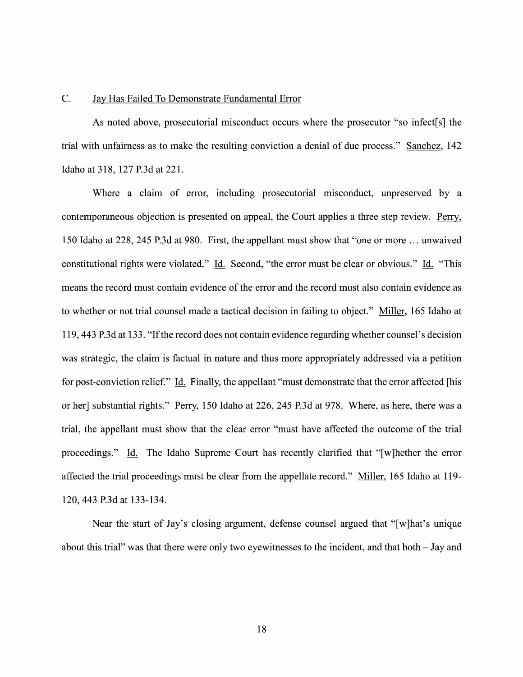#### C. JaV Has Failed To Demonstrate Fundamental Error

As noted above, prosecutorial misconduct occurs Where the prosecutor "so infect[s] the trial with unfairness as to make the resulting conviction a denial of due process." Sanchez, 142 Idaho at 318, 127 P.3d at 221.

Where a claim of error, including prosecutorial misconduct, unpreserved by a contemporaneous objection is presented on appeal, the Court applies a three step review. Perry, 150 Idaho at 228, 245 P.3d at 980. First, the appellant must show that "one or more ... unwaived constitutional rights were violated." Id. Second, "the error must be clear or obvious." Id. "This means the record must contain evidence 0f the error and the record must also contain evidence as to whether or not trial counsel made a tactical decision in failing to object." Miller, 165 Idaho at 119, 443 P.3d at 133. "Ifthe record does not contain evidence regarding Whether counsel's decision was strategic, the claim is factual in nature and thus more appropriately addressed via a petition for post-conviction relief." Id. Finally, the appellant "must demonstrate that the error affected [his or her] substantial rights." Perry, 150 Idaho at 226, 245 P.3d at 978. Where, as here, there was a trial, the appellant must show that the clear error "must have affected the outcome 0f the trial proceedings." Li. The Idaho Supreme Court has recently clarified that "[w]hether the error affected the trial proceedings must be clear from the appellate record." Miller, 165 Idaho at 119-120, 443 P.3d at 133-134.

Near the start of Jay's closing argument, defense counsel argued that "[w]hat's unique about this trial" was that there were only two eyewitnesses to the incident, and that both  $-$  Jay and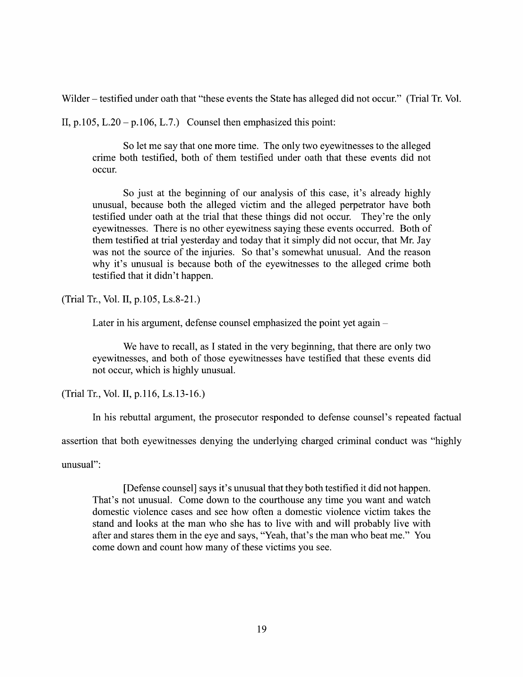Wilder – testified under oath that "these events the State has alleged did not occur." (Trial Tr. Vol.

II, p.105, L.20 – p.106, L.7.) Counsel then emphasized this point:

So let me say that one more time. The only two eyewitnesses to the alleged crime both testified, both 0f them testified under oath that these events did not occur.

So just at the beginning of our analysis of this case, it's already highly unusual, because both the alleged victim and the alleged perpetrator have both testified under oath at the trial that these things did not occur. They're the only eyewitnesses. There is no other eyewitness saying these events occurred. Both of them testified at trial yesterday and today that it simply did not occur, that Mr. Jay was not the source of the injuries. So that's somewhat unusual. And the reason why it's unusual is because both of the eyewitnesses to the alleged crime both testified that it didn't happen.

(Trial Tr., Vol. II, p.105, Ls.8-21.)

Later in his argument, defense counsel emphasized the point yet again –

We have to recall, as I stated in the very beginning, that there are only two eyewitnesses, and both 0f those eyewitnesses have testified that these events did not occur, Which is highly unusual.

(Trial Tr., Vol. II, p.116, Ls.13-16.)

In his rebuttal argument, the prosecutor responded to defense counsel's repeated factual

assertion that both eyewitnesses denying the underlying charged criminal conduct was "highly

unusual":

[Defense counsel] says it's unusual that they both testified it did not happen. That's not unusual. Come down to the courthouse any time you want and watch domestic violence cases and see how often a domestic violence victim takes the stand and looks at the man who she has to live with and will probably live with after and stares them in the eye and says, "Yeah, that's the man Who beat me." You come down and count how many of these victims you see.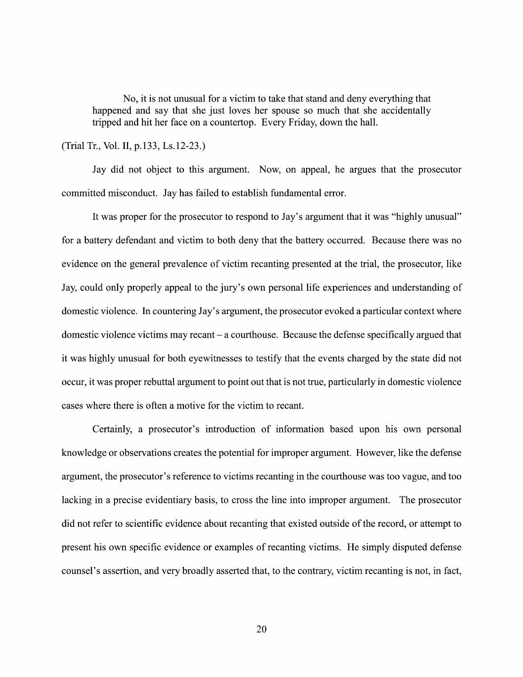No, it is not unusual for a victim to take that stand and deny everything that happened and say that she just loves her spouse so much that she accidentally tripped and hit her face on a countertop. Every Friday, down the hall.

## (Trial Tr., Vol. II, p.133, Ls.12-23.)

Jay did not object to this argument. Now, on appeal, he argues that the prosecutor committed misconduct. Jay has failed to establish fundamental error.

It was proper for the prosecutor to respond to Jay's argument that it was "highly unusual" for a battery defendant and victim to both deny that the battery occurred. Because there was no evidence on the general prevalence of victim recanting presented at the trial, the prosecutor, like Jay, could only properly appeal to the jury's own personal life experiences and understanding of domestic violence. In countering Jay's argument, the prosecutor evoked a particular context where domestic violence victims may recant  $-a$  courthouse. Because the defense specifically argued that it was highly unusual for both eyewitnesses to testify that the events charged by the state did not occur, it was proper rebuttal argument to point out that is not true, particularly in domestic Violence cases where there is often a motive for the victim to recant.

Certainly, a prosecutor's introduction of information based upon his own personal knowledge 0r observations creates the potential for improper argument. However, like the defense argument, the prosecutor's reference to Victims recanting in the courthouse was too vague, and too lacking in a precise evidentiary basis, to cross the line into improper argument. The prosecutor did not refer to scientific evidence about recanting that existed outside of the record, or attempt to present his own specific evidence or examples of recanting Victims. He simply disputed defense counsel's assertion, and very broadly asserted that, to the contrary, Victim recanting is not, in fact,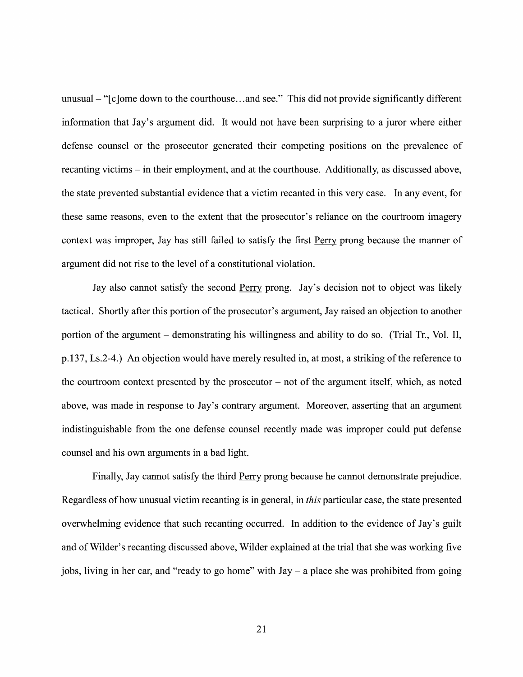unusual  $-$  " $[c]$ ome down to the courthouse...and see." This did not provide significantly different information that Jay's argument did. It would not have been surprising to a juror where either defense counsel or the prosecutor generated their competing positions 0n the prevalence of recanting victims – in their employment, and at the courthouse. Additionally, as discussed above, the state prevented substantial evidence that a victim recanted in this very case. In any event, for these same reasons, even to the extent that the prosecutor's reliance on the courtroom imagery context was improper, Jay has still failed to satisfy the first Perry prong because the manner of argument did not rise to the level of a constitutional violation.

Jay also cannot satisfy the second Perry prong. Jay's decision not to object was likely tactical. Shortly after this portion of the prosecutor's argument, Jay raised an objection to another portion of the argument  $-$  demonstrating his willingness and ability to do so. (Trial Tr., Vol. II, p.137, Ls.2-4.) An objection would have merely resulted in, at most, a striking of the reference to the courtroom context presented by the prosecutor  $-$  not of the argument itself, which, as noted above, was made in response to Jay's contrary argument. Moreover, asserting that an argument indistinguishable from the one defense counsel recently made was improper could put defense counsel and his own arguments in a bad light.

Finally, Jay cannot satisfy the third Perry prong because he cannot demonstrate prejudice. Regardless of how unusual victim recanting is in general, in *this* particular case, the state presented overwhelming evidence that such recanting occurred. In addition to the evidence of Jay's guilt and 0f Wilder's recanting discussed above, Wilder explained at the trial that she was working five jobs, living in her car, and "ready to go home" with  $Jay - a$  place she was prohibited from going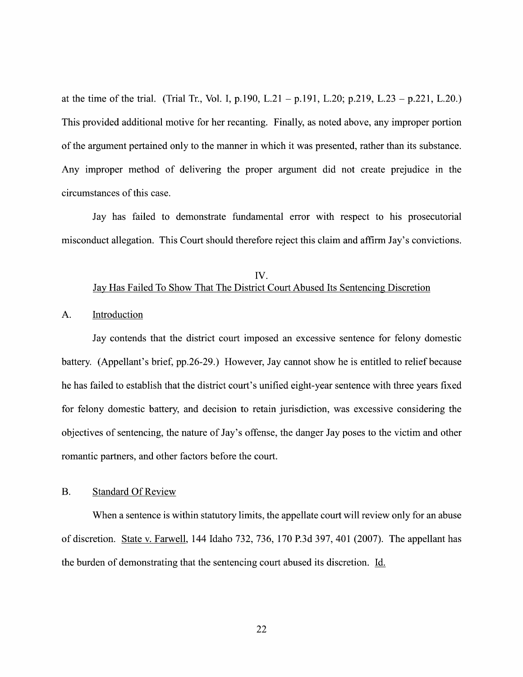at the time of the trial. (Trial Tr., Vol. I, p.190, L.21 - p.191, L.20; p.219, L.23 - p.221, L.20.) This provided additional motive for her recanting. Finally, as noted above, any improper portion of the argument pertained only to the manner in Which it was presented, rather than its substance. Any improper method of delivering the proper argument did not create prejudice in the circumstances 0f this case.

Jay has failed to demonstrate fundamental error with respect to his prosecutorial misconduct allegation. This Court should therefore reject this claim and affirm Jay's convictions.

## IV. Jay Has Failed T0 Show That The District Court Abused Its Sentencing Discretion

### A. Introduction

Jay contends that the district court imposed an excessive sentence for felony domestic battery. (Appellant's brief, pp.26-29.) However, Jay cannot show he is entitled to relief because he has failed to establish that the district court's unified eight-year sentence With three years fixed for felony domestic battery, and decision to retain jurisdiction, was excessive considering the objectives of sentencing, the nature of Jay's offense, the danger Jay poses to the victim and other romantic partners, and other factors before the court.

## B. Standard Of Review

When a sentence is within statutory limits, the appellate court will review only for an abuse 0f discretion. State V. Farwell, <sup>144</sup> Idaho 732, 736, <sup>170</sup> P.3d 397, <sup>401</sup> (2007). The appellant has the burden of demonstrating that the sentencing court abused its discretion. Li.

22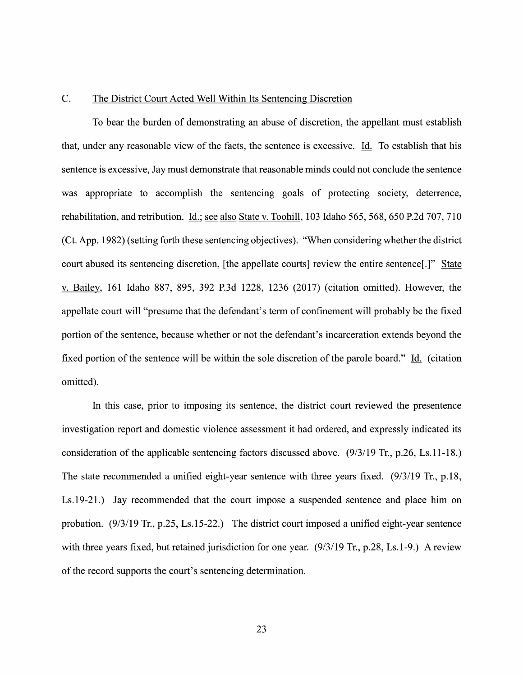#### C. The District Court Acted Well Within Its Sentencing Discretion

T0 bear the burden of demonstrating an abuse of discretion, the appellant must establish that, under any reasonable view of the facts, the sentence is excessive. Id. To establish that his sentence is excessive, Jay must demonstrate that reasonable minds could not conclude the sentence was appropriate to accomplish the sentencing goals of protecting society, deterrence, rehabilitation, and retribution. Id.; see also State v. Toohill, 103 Idaho 565, 568, 650 P.2d 707, 710 (Ct. App. 1982) (setting forth these sentencing objectives). "When considering whether the district court abused its sentencing discretion, [the appellate courts] review the entire sentence[.]" State V. Bailey, <sup>161</sup> Idaho 887, 895, <sup>392</sup> P.3d 1228, <sup>1236</sup> (2017) (citation omitted). However, the appellate court will "presume that the defendant's term of confinement will probably be the fixed portion of the sentence, because whether 0r not the defendant's incarceration extends beyond the fixed portion of the sentence will be within the sole discretion of the parole board." Id. (citation omitted).

In this case, prior to imposing its sentence, the district court reviewed the presentence investigation report and domestic violence assessment it had ordered, and expressly indicated its consideration of the applicable sentencing factors discussed above. (9/3/19 Tr., p.26, Ls.11-18.) The state recommended a unified eight-year sentence with three years fixed.  $(9/3/19$  Tr., p.18, Ls.19-21.) Jay recommended that the court impose a suspended sentence and place him on probation.  $(9/3/19 \text{ Tr}, p.25, Ls.15-22.)$  The district court imposed a unified eight-year sentence with three years fixed, but retained jurisdiction for one year.  $(9/3/19 \text{ Tr}, p.28, Ls.1-9)$ . A review of the record supports the court's sentencing determination.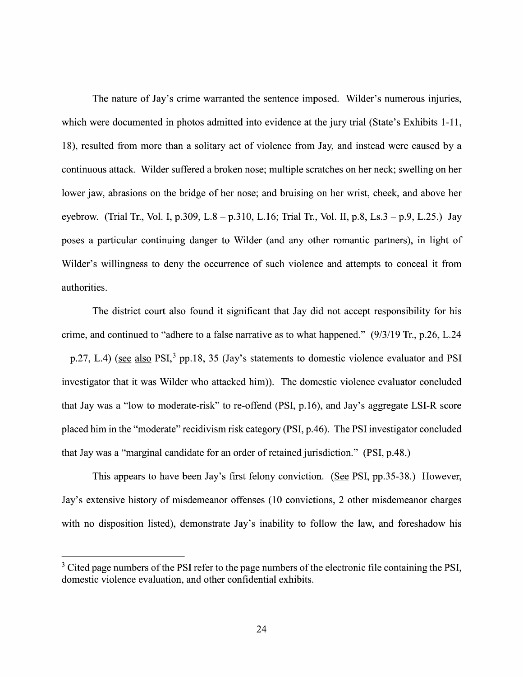The nature of Jay's crime warranted the sentence imposed. Wilder's numerous injuries, which were documented in photos admitted into evidence at the jury trial (State's Exhibits 1-11, 18), resulted from more than a solitary act of violence from Jay, and instead were caused by a continuous attack. Wilder suffered broken nose; multiple scratches on her neck; swelling on her lower jaw, abrasions on the bridge of her nose; and bruising on her wrist, cheek, and above her eyebrow. (Trial Tr., Vol. I, p.309, L.8 – p.310, L.16; Trial Tr., Vol. II, p.8, Ls.3 – p.9, L.25.) Jay poses a particular continuing danger to Wilder (and any other romantic partners), in light of Wilder's willingness to deny the occurrence of such violence and attempts to conceal it from authorities.

The district court also found it significant that Jay did not accept responsibility for his crime, and continued to "adhere to a false narrative as to what happened."  $(9/3/19$  Tr., p.26, L.24  $p = p.27$ , L.4) (see also PSI,<sup>3</sup> pp.18, 35 (Jay's statements to domestic violence evaluator and PSI investigator that it was Wilder who attacked him)). The domestic violence evaluator concluded that Jay was a "low to moderate-risk" to re-offend  $(PSI, p.16)$ , and Jay's aggregate LSI-R score placed him in the "moderate" recidivism risk category (PSI, p.46). The PSI investigator concluded that Jay was a "marginal candidate for an order of retained jurisdiction." (PSI, p.48.)

This appears to have been Jay's first felony conviction. (See PSI, pp.35-38.) However, Jay's extensive history of misdemeanor offenses (10 convictions, 2 other misdemeanor charges with no disposition listed), demonstrate Jay's inability to follow the law, and foreshadow his

<sup>&</sup>lt;sup>3</sup> Cited page numbers of the PSI refer to the page numbers of the electronic file containing the PSI, domestic Violence evaluation, and other confidential exhibits.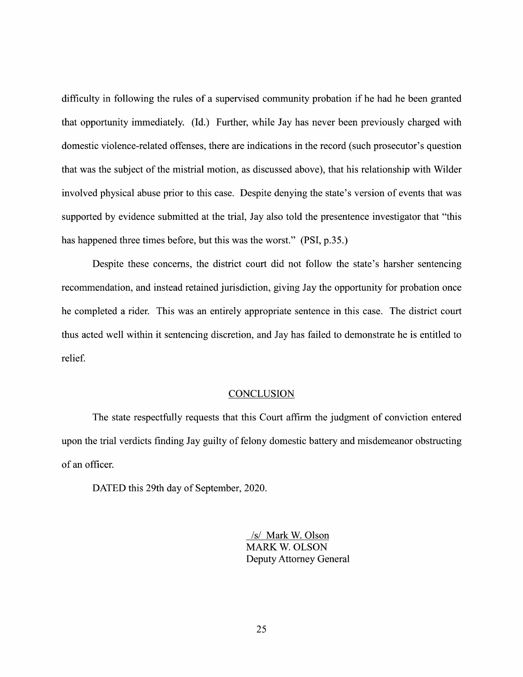difficulty in following the rules of a supervised community probation if he had he been granted that opportunity immediately. (Id.) Further, While Jay has never been previously charged with domestic Violence-related offenses, there are indications in the record (such prosecutor's question that was the subject 0f the mistrial motion, as discussed above), that his relationship with Wilder involved physical abuse prior to this case. Despite denying the state's version of events that was supported by evidence submitted at the trial, Jay also told the presentence investigator that "this has happened three times before, but this was the worst." (PSI, p.35.)

Despite these concerns, the district court did not follow the state's harsher sentencing recommendation, and instead retained jurisdiction, giving Jay the opportunity for probation once he completed a rider. This was an entirely appropriate sentence in this case. The district court thus acted well within it sentencing discretion, and Jay has failed to demonstrate he is entitled to relief.

#### **CONCLUSION**

The state respectfully requests that this Court affirm the judgment of conviction entered upon the trial verdicts finding Jay guilty 0f felony domestic battery and misdemeanor obstructing of an officer.

DATED this 29th day of September, 2020.

/s/ Mark W. Olson MARK W. OLSON Deputy Attorney General

25